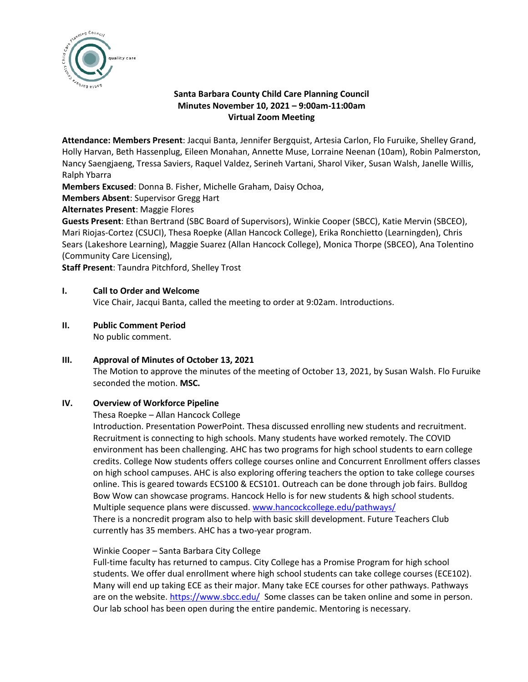

# **Santa Barbara County Child Care Planning Council Minutes November 10, 2021 – 9:00am-11:00am Virtual Zoom Meeting**

**Attendance: Members Present**: Jacqui Banta, Jennifer Bergquist, Artesia Carlon, Flo Furuike, Shelley Grand, Holly Harvan, Beth Hassenplug, Eileen Monahan, Annette Muse, Lorraine Neenan (10am), Robin Palmerston, Nancy Saengjaeng, Tressa Saviers, Raquel Valdez, Serineh Vartani, Sharol Viker, Susan Walsh, Janelle Willis, Ralph Ybarra

**Members Excused**: Donna B. Fisher, Michelle Graham, Daisy Ochoa,

**Members Absent**: Supervisor Gregg Hart

**Alternates Present**: Maggie Flores

**Guests Present**: Ethan Bertrand (SBC Board of Supervisors), Winkie Cooper (SBCC), Katie Mervin (SBCEO), Mari Riojas-Cortez (CSUCI), Thesa Roepke (Allan Hancock College), Erika Ronchietto (Learningden), Chris Sears (Lakeshore Learning), Maggie Suarez (Allan Hancock College), Monica Thorpe (SBCEO), Ana Tolentino (Community Care Licensing),

**Staff Present**: Taundra Pitchford, Shelley Trost

### **I. Call to Order and Welcome**

Vice Chair, Jacqui Banta, called the meeting to order at 9:02am. Introductions.

**II. Public Comment Period**

No public comment.

### **III. Approval of Minutes of October 13, 2021**

The Motion to approve the minutes of the meeting of October 13, 2021, by Susan Walsh. Flo Furuike seconded the motion. **MSC.**

### **IV. Overview of Workforce Pipeline**

Thesa Roepke – Allan Hancock College

Introduction. Presentation PowerPoint. Thesa discussed enrolling new students and recruitment. Recruitment is connecting to high schools. Many students have worked remotely. The COVID environment has been challenging. AHC has two programs for high school students to earn college credits. College Now students offers college courses online and Concurrent Enrollment offers classes on high school campuses. AHC is also exploring offering teachers the option to take college courses online. This is geared towards ECS100 & ECS101. Outreach can be done through job fairs. Bulldog Bow Wow can showcase programs. Hancock Hello is for new students & high school students. Multiple sequence plans were discussed. [www.hancockcollege.edu/pathways/](http://www.hancockcollege.edu/pathways/) There is a noncredit program also to help with basic skill development. Future Teachers Club currently has 35 members. AHC has a two-year program.

### Winkie Cooper – Santa Barbara City College

Full-time faculty has returned to campus. City College has a Promise Program for high school students. We offer dual enrollment where high school students can take college courses (ECE102). Many will end up taking ECE as their major. Many take ECE courses for other pathways. Pathways are on the website.<https://www.sbcc.edu/>Some classes can be taken online and some in person. Our lab school has been open during the entire pandemic. Mentoring is necessary.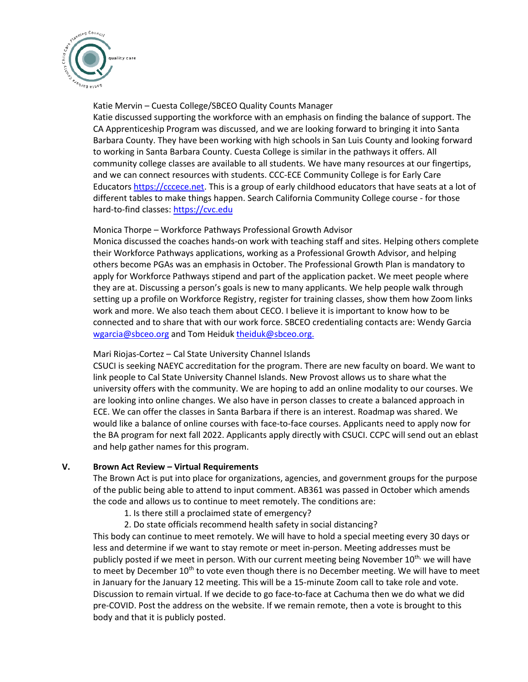

### Katie Mervin – Cuesta College/SBCEO Quality Counts Manager

Katie discussed supporting the workforce with an emphasis on finding the balance of support. The CA Apprenticeship Program was discussed, and we are looking forward to bringing it into Santa Barbara County. They have been working with high schools in San Luis County and looking forward to working in Santa Barbara County. Cuesta College is similar in the pathways it offers. All community college classes are available to all students. We have many resources at our fingertips, and we can connect resources with students. CCC-ECE Community College is for Early Care Educators [https://cccece.net.](https://cccece.net/) This is a group of early childhood educators that have seats at a lot of different tables to make things happen. Search California Community College course - for those hard-to-find classes: [https://cvc.edu](https://cvc.edu/)

### Monica Thorpe – Workforce Pathways Professional Growth Advisor

Monica discussed the coaches hands-on work with teaching staff and sites. Helping others complete their Workforce Pathways applications, working as a Professional Growth Advisor, and helping others become PGAs was an emphasis in October. The Professional Growth Plan is mandatory to apply for Workforce Pathways stipend and part of the application packet. We meet people where they are at. Discussing a person's goals is new to many applicants. We help people walk through setting up a profile on Workforce Registry, register for training classes, show them how Zoom links work and more. We also teach them about CECO. I believe it is important to know how to be connected and to share that with our work force. SBCEO credentialing contacts are: Wendy Garcia [wgarcia@sbceo.org](mailto:wgarcia@sbceo.org) and Tom Heiduk [theiduk@sbceo.org.](mailto:theiduk@sbceo.org)

### Mari Riojas-Cortez – Cal State University Channel Islands

CSUCI is seeking NAEYC accreditation for the program. There are new faculty on board. We want to link people to Cal State University Channel Islands. New Provost allows us to share what the university offers with the community. We are hoping to add an online modality to our courses. We are looking into online changes. We also have in person classes to create a balanced approach in ECE. We can offer the classes in Santa Barbara if there is an interest. Roadmap was shared. We would like a balance of online courses with face-to-face courses. Applicants need to apply now for the BA program for next fall 2022. Applicants apply directly with CSUCI. CCPC will send out an eblast and help gather names for this program.

### **V. Brown Act Review – Virtual Requirements**

The Brown Act is put into place for organizations, agencies, and government groups for the purpose of the public being able to attend to input comment. AB361 was passed in October which amends the code and allows us to continue to meet remotely. The conditions are:

- 1. Is there still a proclaimed state of emergency?
- 2. Do state officials recommend health safety in social distancing?

This body can continue to meet remotely. We will have to hold a special meeting every 30 days or less and determine if we want to stay remote or meet in-person. Meeting addresses must be publicly posted if we meet in person. With our current meeting being November  $10^{th}$ , we will have to meet by December 10<sup>th</sup> to vote even though there is no December meeting. We will have to meet in January for the January 12 meeting. This will be a 15-minute Zoom call to take role and vote. Discussion to remain virtual. If we decide to go face-to-face at Cachuma then we do what we did pre-COVID. Post the address on the website. If we remain remote, then a vote is brought to this body and that it is publicly posted.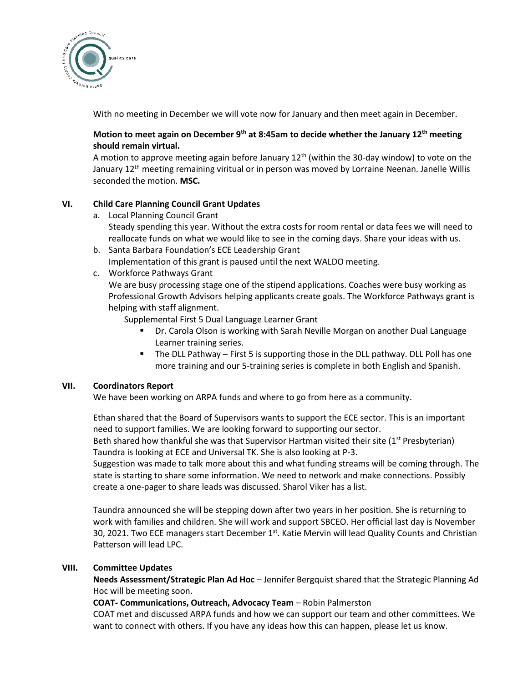

With no meeting in December we will vote now for January and then meet again in December.

# **Motion to meet again on December 9th at 8:45am to decide whether the January 12th meeting should remain virtual.**

A motion to approve meeting again before January  $12<sup>th</sup>$  (within the 30-day window) to vote on the January 12<sup>th</sup> meeting remaining viritual or in person was moved by Lorraine Neenan. Janelle Willis seconded the motion. **MSC.**

# **VI. Child Care Planning Council Grant Updates**

- a. Local Planning Council Grant Steady spending this year. Without the extra costs for room rental or data fees we will need to reallocate funds on what we would like to see in the coming days. Share your ideas with us.
- b. Santa Barbara Foundation's ECE Leadership Grant Implementation of this grant is paused until the next WALDO meeting.
- c. Workforce Pathways Grant

We are busy processing stage one of the stipend applications. Coaches were busy working as Professional Growth Advisors helping applicants create goals. The Workforce Pathways grant is helping with staff alignment.

Supplemental First 5 Dual Language Learner Grant

- Dr. Carola Olson is working with Sarah Neville Morgan on another Dual Language Learner training series.
- The DLL Pathway First 5 is supporting those in the DLL pathway. DLL Poll has one more training and our 5-training series is complete in both English and Spanish.

# **VII. Coordinators Report**

We have been working on ARPA funds and where to go from here as a community.

Ethan shared that the Board of Supervisors wants to support the ECE sector. This is an important need to support families. We are looking forward to supporting our sector. Beth shared how thankful she was that Supervisor Hartman visited their site  $(1<sup>st</sup> Presbyterian)$ Taundra is looking at ECE and Universal TK. She is also looking at P-3.

Suggestion was made to talk more about this and what funding streams will be coming through. The state is starting to share some information. We need to network and make connections. Possibly create a one-pager to share leads was discussed. Sharol Viker has a list.

Taundra announced she will be stepping down after two years in her position. She is returning to work with families and children. She will work and support SBCEO. Her official last day is November 30, 2021. Two ECE managers start December 1<sup>st</sup>. Katie Mervin will lead Quality Counts and Christian Patterson will lead LPC.

# **VIII. Committee Updates**

**Needs Assessment/Strategic Plan Ad Hoc** – Jennifer Bergquist shared that the Strategic Planning Ad Hoc will be meeting soon.

# **COAT- Communications, Outreach, Advocacy Team** – Robin Palmerston

COAT met and discussed ARPA funds and how we can support our team and other committees. We want to connect with others. If you have any ideas how this can happen, please let us know.